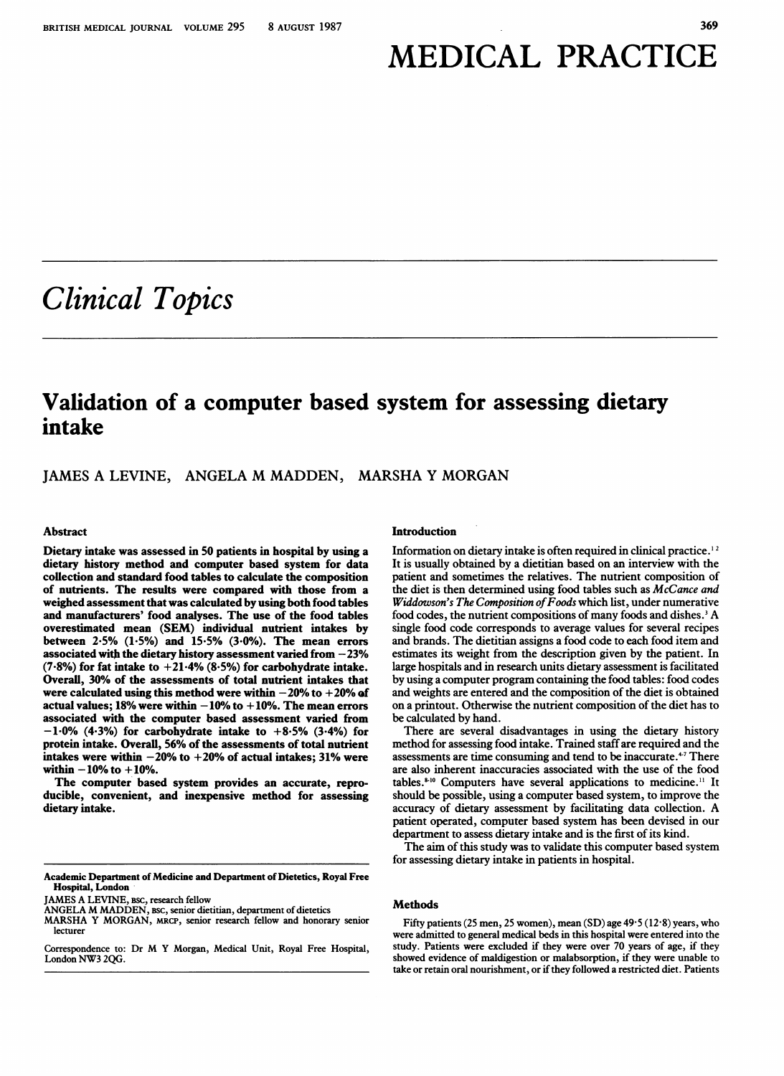# Clinical Topics

## Validation of a computer based system for assessing dietary intake

JAMES A LEVINE, ANGELA M MADDEN, MARSHA Y MORGAN

#### Abstract

Dietary intake was assessed in 50 patients in hospital by using a dietary history method and computer based system for data collection and standard food tables to calculate the composition of nutrients. The results were compared with those from a weighed assessment that was calculated by using both food tables and manufacturers' food analyses. The use of the food tables overestimated mean (SEM) individual nutrient intakes by between  $2.5\%$  (1.5%) and 15.5% (3.0%). The mean errors associated with the dietary history assessment varied from  $-23%$ (7.8%) for fat intake to  $+21.4\%$  (8.5%) for carbohydrate intake. Overall, 30% of the assessments of total nutrient intakes that were calculated using this method were within  $-20\%$  to  $+20\%$  of actual values; 18% were within  $-10%$  to  $+10%$ . The mean errors associated with the computer based assessment varied from  $-1.0\%$  (4.3%) for carbohydrate intake to  $+8.5\%$  (3.4%) for protein intake. Overall, 56% of the assessments of total nutrient intakes were within  $-20\%$  to  $+20\%$  of actual intakes; 31% were within  $-10%$  to  $+10%$ .

The computer based system provides an accurate, reproducible, convenient, and inexpensive method for assessing dietary intake.

#### **Introduction**

Information on dietary intake is often required in clinical practice.<sup>12</sup> It is usually obtained by a dietitian based on an interview with the patient and sometimes the relatives. The nutrient composition of the diet is then determined using food tables such as McCance and Widdowson's The Composition of Foods which list, under numerative food codes, the nutrient compositions of many foods and dishes.<sup>3</sup> A single food code corresponds to average values for several recipes and brands. The dietitian assigns a food code to each food item and estimates its weight from the description given by the patient. In large hospitals and in research units dietary assessment is facilitated by using a computer program containing the food tables: food codes and weights are entered and the composition of the diet is obtained on a printout. Otherwise the nutrient composition of the diet has to be calculated by hand.

There are several disadvantages in using the dietary history method for assessing food intake. Trained staff are required and the assessments are time consuming and tend to be inaccurate.<sup>47</sup> There are also inherent inaccuracies associated with the use of the food tables.<sup>8-10</sup> Computers have several applications to medicine.<sup>11</sup> It should be possible, using a computer based system, to improve the accuracy of dietary assessment by facilitating data collection. A patient operated, computer based system has been devised in our department to assess dietary intake and is the first of its kind.

The aim of this study was to validate this computer based system for assessing dietary intake in patients in hospital.

#### **Methods**

Fifty patients (25 men, 25 women), mean (SD) age 49 <sup>5</sup> (12-8) years, who were admitted to general medical beds in this hospital were entered into the study. Patients were excluded if they were over 70 years of age, if they showed evidence of maldigestion or malabsorption, if they were unable to take or retain oral nourishment, or if they followed a restricted diet. Patients

Academic Department of Medicine and Department of Dietetics, Royal Free Hospital, London

JAMES A LEVINE, BSC, research fellow

ANGELA M MADDEN, BSC, senior dietitian, department of dietetics

MARSHA Y MORGAN, mRcP, senior research fellow and honorary senior lecturer

Correspondence to: Dr M Y Morgan, Medical Unit, Royal Free Hospital, London NW3 2QG.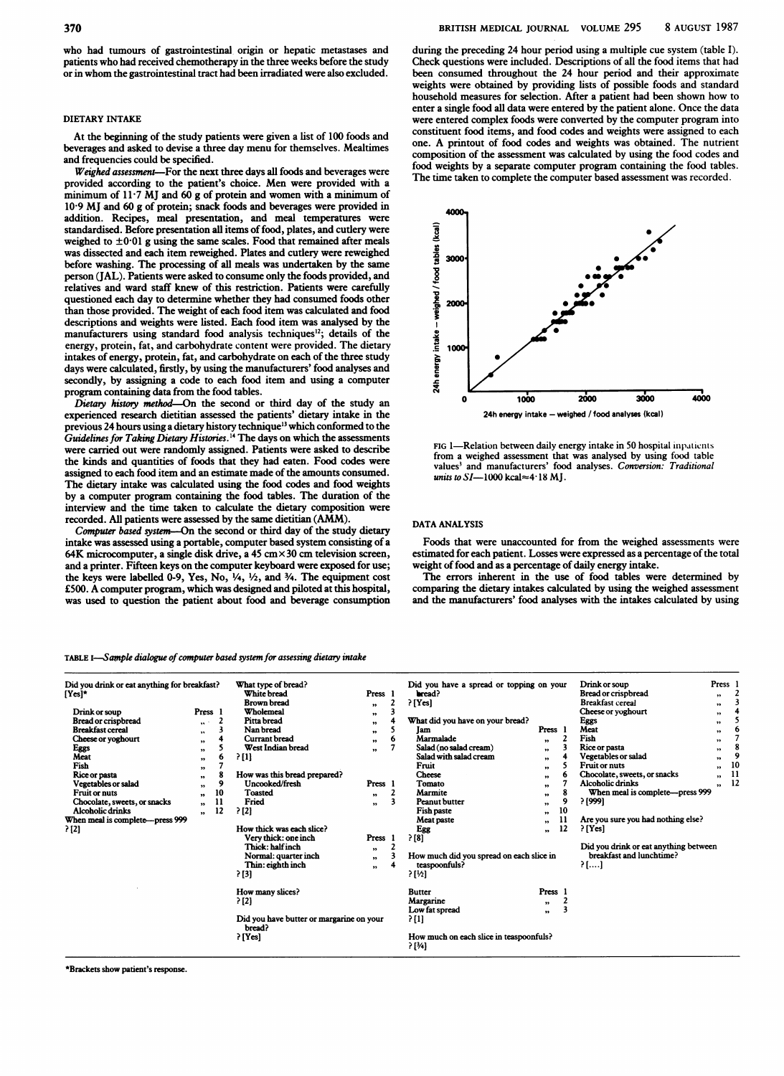who had tumours of gastrointestinal origin or hepatic metastases and patients who had received chemotherapy in the three weeks before the study or in whom the gastrointestinal tract had been irradiated were also excluded.

#### DIETARY INTAKE

At the beginning of the study patients were given a list of 100 foods and beverages and asked to devise a three day menu for themselves. Mealtimes and frequencies could be specified.

Weighed assessment-For the next three days all foods and beverages were provided according to the patient's choice. Men were provided with <sup>a</sup> minimum of 11-7 MJ and 60 g of protein and women with <sup>a</sup> minimum of <sup>10</sup> 9 MJ and 60 g of protein; snack foods and beverages were provided in addition. Recipes, meal presentation, and meal temperatures were standardised. Before presentation all items of food, plates, and cutlery were weighed to  $\pm 0.01$  g using the same scales. Food that remained after meals was dissected and each item reweighed. Plates and cutlery were reweighed before washing. The processing of all meals was undertaken by the same person (JAL). Patients were asked to consume only the foods provided, and relatives and ward staff knew of this restriction. Patients were carefully questioned each day to determine whether they had consumed foods other than those provided. The weight of each food item was calculated and food descriptions and weights were listed. Each food item was analysed by the manufacturers using standard food analysis techniques<sup>12</sup>; details of the energy, protein, fat, and carbohydrate content were provided. The dietary intakes of energy, protein, fat, and carbohydrate on each of the three study days were calculated, firstly, by using the manufacturers' food analyses and secondly, by assigning a code to each food item and using a computer program containing data from the food tables.

Dietary history method-On the second or third day of the study an experienced research dietitian assessed the patients' dietary intake in the previous 24 hours using a dietary history technique<sup>13</sup> which conformed to the Guidelines for Taking Dietary Histories.<sup>14</sup> The days on which the assessments were carried out were randomly assigned. Patients were asked to describe the kinds and quantities of foods that they had eaten. Food codes were assigned to each food item and an estimate made of the amounts consumed. The dietary intake was calculated using the food codes and food weights by a computer program containing the food tables. The duration of the interview and the time taken to calculate the dietary composition were recorded. All patients were assessed by the same dietitian (AMM).

Computer based system-On the second or third day of the study dietary intake was assessed using a portable, computer based system consisting of a 64K microcomputer, a single disk drive, a 45 cm $\times$ 30 cm television screen, and a printer. Fifteen keys on the computer keyboard were exposed for use; the keys were labelled 0-9, Yes, No, 1/4, 1/2, and 3/4. The equipment cost £500. A computer program, which was designed and piloted at this hospital, was used to question the patient about food and beverage consumption

#### TABLE I-Sample dialogue of computer based system for assessing dietary intake

| Did you drink or eat anything for breakfast?<br>$Yes^*$ |                      |    | What type of bread?<br>White bread<br><b>Brown bread</b> | Press 1<br>$\bullet$       | Did you have a spread or topping on your<br>bread?<br>$?$ [Yes] |                      |    | Drink or soup<br><b>Bread or crispbread</b><br><b>Breakfast cereal</b> | Press <sub>1</sub><br>,,<br>,, |    |
|---------------------------------------------------------|----------------------|----|----------------------------------------------------------|----------------------------|-----------------------------------------------------------------|----------------------|----|------------------------------------------------------------------------|--------------------------------|----|
| Drink or soup                                           | Press 1              |    | Wholemeal                                                | $\boldsymbol{\mathcal{P}}$ |                                                                 |                      |    | Cheese or yoghourt                                                     | $, \,$                         |    |
| <b>Bread or crispbread</b>                              | $\mathbf{H}$         | 2  | Pitta bread                                              | ,                          | What did you have on your bread?                                |                      |    | Eggs                                                                   | ,,                             |    |
| <b>Breakfast cereal</b>                                 |                      |    | Nan bread                                                | $\mathbf{v}$               | Iam                                                             | Press 1              |    | Meat                                                                   | ,,                             |    |
| Cheese or yoghourt                                      | $\ddot{\phantom{1}}$ |    | Currant bread                                            | ,                          | Marmalade                                                       | $\mathbf{r}$         |    | Fish                                                                   | ,,                             |    |
| Eggs                                                    | $\bullet$            |    | West Indian bread                                        | $\mathbf{v}$               | Salad (no salad cream)                                          | $\bullet$            |    | Rice or pasta                                                          | ,,                             |    |
| Meat                                                    | $\cdot$              | 6  | ? [1]                                                    |                            | Salad with salad cream                                          | $\bullet$            |    | Vegetables or salad                                                    | $, \,$                         |    |
| Fish                                                    | $\bullet$            |    |                                                          |                            | Fruit                                                           | $\ddot{\phantom{a}}$ |    | Fruit or nuts                                                          | $\cdot$                        | 10 |
| Rice or pasta                                           | $, \,$               |    | How was this bread prepared?                             |                            | Cheese                                                          |                      | 6  | Chocolate, sweets, or snacks                                           |                                | 11 |
| Vegetables or salad                                     | $\cdot$              | 9  | Uncooked/fresh                                           | Press 1                    | Tomato                                                          | $\bullet$            |    | Alcoholic drinks                                                       | ,                              | 12 |
| <b>Fruit or nuts</b>                                    | $\bullet$            | 10 | Toasted                                                  |                            | Marmite                                                         | $\cdot$              |    | When meal is complete-press 999                                        | $\cdot$                        |    |
| Chocolate, sweets, or snacks                            | $\bullet$            | 11 | Fried                                                    | $\mathbf{v}$               | Peanut butter                                                   | $\bullet$            | 9  | ? [999]                                                                |                                |    |
| <b>Alcoholic drinks</b>                                 | $\bullet$            | 12 | ? [2]                                                    | ,                          | Fish paste                                                      | $\cdot$              | 10 |                                                                        |                                |    |
|                                                         | $\bullet$            |    |                                                          |                            |                                                                 | $\mathbf{v}$         | 11 | Are you sure you had nothing else?                                     |                                |    |
| When meal is complete—press 999                         |                      |    | How thick was each slice?                                |                            | Meat paste                                                      | ,,                   | 12 |                                                                        |                                |    |
| ? [2]                                                   |                      |    |                                                          |                            | Egg                                                             | $\bullet$            |    | $\{Yes\}$                                                              |                                |    |
|                                                         |                      |    | Very thick: one inch                                     | Press <sub>1</sub>         | ? [8]                                                           |                      |    |                                                                        |                                |    |
|                                                         |                      |    | Thick: half inch                                         | $\overline{\mathbf{v}}$    |                                                                 |                      |    | Did you drink or eat anything between<br>breakfast and lunchtime?      |                                |    |
|                                                         |                      |    | Normal: quarter inch                                     | ,                          | How much did you spread on each slice in                        |                      |    |                                                                        |                                |    |
|                                                         |                      |    | Thin: eighth inch                                        | $\mathbf{v}$               | teaspoonfuls?                                                   |                      |    | ? []                                                                   |                                |    |
|                                                         |                      |    | ? [3]                                                    |                            | ? [½]                                                           |                      |    |                                                                        |                                |    |
|                                                         |                      |    | How many slices?                                         |                            | <b>Butter</b>                                                   | Press 1              |    |                                                                        |                                |    |
|                                                         |                      |    | ? [2]                                                    |                            | Margarine                                                       |                      |    |                                                                        |                                |    |
|                                                         |                      |    |                                                          |                            | Low fat spread                                                  | $\bullet$            |    |                                                                        |                                |    |
|                                                         |                      |    | Did you have butter or margarine on your                 |                            |                                                                 | $, \, \cdot$         |    |                                                                        |                                |    |
|                                                         |                      |    | bread?                                                   |                            | (1)                                                             |                      |    |                                                                        |                                |    |
|                                                         |                      |    |                                                          |                            |                                                                 |                      |    |                                                                        |                                |    |
|                                                         |                      |    | $?$ [Yes]                                                |                            | How much on each slice in teaspoonfuls?                         |                      |    |                                                                        |                                |    |
|                                                         |                      |    |                                                          |                            | ? [¾]                                                           |                      |    |                                                                        |                                |    |

### BRITISH MEDICAL JOURNAL VOLUME 295 8 AUGUST 1987

during the preceding 24 hour period using a multiple cue system (table I). Check questions were included. Descriptions of all the food items that had been consumed throughout the 24 hour period and their approximate weights were obtained by providing lists of possible foods and standard household measures for selection. After a patient had been shown how to enter a single food all data were entered by the patient alone. Once the data were entered complex foods were converted by the computer program into constituent food items, and food codes and weights were assigned to each one. A printout of food codes and weights was obtained. The nutrient composition of the assessment was calculated by using the food codes and food weights by a separate computer program containing the food tables. The time taken to complete the computer based assessment was recorded.



FIG 1-Relation between daily energy intake in 50 hospital inpatients from a weighed assessment that was analysed by using food table<br>values<sup>3</sup> and manufacturers' food analyses. *Conversion: Traditional* units to  $SI$ —1000 kcal $\approx$ 4·18 MJ.

#### DATA ANALYSIS

Foods that were unaccounted for from the weighed assessments were estimated for each patient. Losses were expressed as a percentage of the total weight of food and as a percentage of daily energy intake.

The errors inherent in the use of food tables were determined by comparing the dietary intakes calculated by using the weighed assessment and the manufacturers' food analyses with the intakes calculated by using

\*Brackets show patient's response.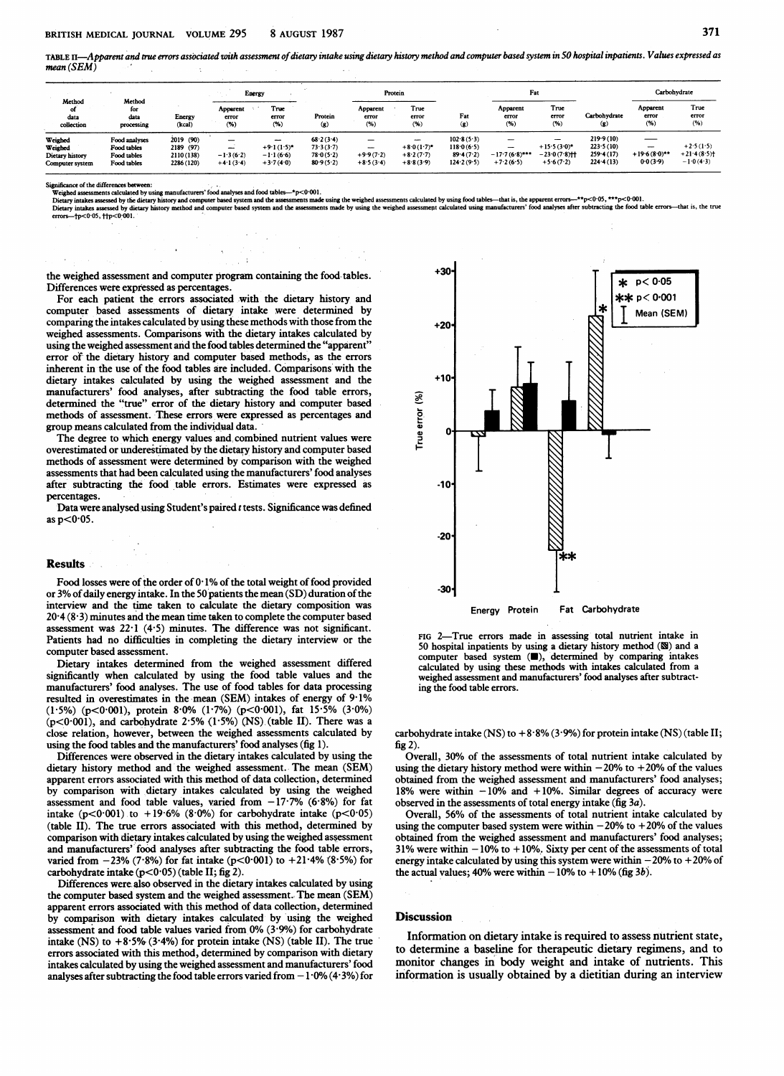TABLE II-Apparent and true errors associated with assessment of dietary intake using dietary history method and computer based system in 50 hospital inpatients. Values expressed as mean (SEM)

|                                                          |                                                            |                                                    | Energy                                                 |                                                  |                                                         |                                                                                    | Protein                                               |                                                     | Fat                                                              |                                                         |                                                  | Carbohydrate                |                                            |  |
|----------------------------------------------------------|------------------------------------------------------------|----------------------------------------------------|--------------------------------------------------------|--------------------------------------------------|---------------------------------------------------------|------------------------------------------------------------------------------------|-------------------------------------------------------|-----------------------------------------------------|------------------------------------------------------------------|---------------------------------------------------------|--------------------------------------------------|-----------------------------|--------------------------------------------|--|
| Method<br>οf<br>data<br>collection                       | Method<br>for<br>data<br>processing                        | Energy<br>(kcal)                                   | Apparent<br>error<br>(%)                               | <b>True</b><br>error<br>(%)                      | Protein<br>$\bf (g)$                                    | Apparent<br>error<br>(%)                                                           | True<br>error<br>(%)                                  | Fat<br>$\left( g\right)$                            | Apparent<br>error<br>$(*)$                                       | True<br>error<br>(%)                                    | Carbohydrate<br>$\bf (g)$                        | Apparent<br>error<br>(%)    | True<br>error<br>(%)                       |  |
| Weighed<br>Weighed<br>Dietary history<br>Computer system | Food analyses<br>Food tables<br>Food tables<br>Food tables | 2019 (90)<br>2189 (97)<br>2110 (138)<br>2286 (120) | $\overline{\phantom{m}}$<br>$-1.3(6.2)$<br>$+4.1(3.4)$ | -<br>$+9.1(1.5)$ *<br>$-1.1(6.6)$<br>$+3.7(4.0)$ | 68.2(3.4)<br>73.3(3.7)<br>$78 - 0 (5 - 2)$<br>80.9(5.2) | $\overline{\phantom{0}}$<br>$\overline{\phantom{a}}$<br>$+9.9(7.2)$<br>$+8.5(3.4)$ | $\sim$<br>$+8.0(1.7)$ *<br>$+8.2(7.7)$<br>$+8.8(3.9)$ | 102.8(5.3)<br>118.0(6.5)<br>89.4(7.2)<br>124.2(9.5) | --<br>$\overline{\phantom{m}}$<br>$-17.7(6.8)***$<br>$+7.2(6.5)$ | $\sim$<br>$+15.5(3.0)$ *<br>$-23.0(7.8)$<br>$+5.6(7.2)$ | 219.9(10)<br>223.5(10)<br>259.4(17)<br>224.4(13) | $+19.6(8.0)$ **<br>0.0(3.9) | $+2.5(1.5)$<br>$+21.4(8.5)$<br>$-1.0(4.3)$ |  |

Significance of the differences between:<br>Weighed assessments calculated by u

Weighed assessments calculated by using manufacturers' food analyses and food tables—"p<0'001.<br>Dietary intakes assessed by the distary history and computer based system and the assessments made using the weighed assessment

the weighed assessment and computer program containing the food tables. Differences were expressed as percentages.

 $\pm$ 

For each patient the errors associated with the dietary history and computer based assessments of dietary intake were determined by comparing the intakes calculated by using these methods with those from the weighed assessments. Comparisons with the dietary intakes calculated by using the weighed assessment and the food tables determined the "apparent" error of the dietary history and computer based methods, as the errors inherent in the use of the food tables are included. Comparisons' with the dietary intakes calculated by using the weighed assessment and the manufacturers' food analyses, after subtracting the food table errors, determined the "true" error of the dietary history and computer based methods of assessment. These errors were expressed as percentages and group means calculated from the individual data.

The degree to which energy values and combined nutrient values were overestimated or underestimated by the dietary history and computer based methods of assessment were determined by comparison with the weighed assessments that had been calculated using the manufacturers' food analyses after subtracting the food table errors. Estimates were expressed as percentages.

Data were analysed using Student's paired <sup>t</sup> tests. Significance was defined as  $p < 0.05$ .

#### Results

Food losses were of the order of  $0.1\%$  of the total weight of food provided or 3% of daily energy intake. In the 50 patients the mean  $(SD)$  duration of the interview and the time taken to calculate the dietary composition was 20-4 (8 3) minutes and the mean time taken to complete the computer based assessment was  $22 \cdot 1$  (4.5) minutes. The difference was not significant. Patients had no difficulties in completing the dietary interview or the computer based assessment.

Dietary intakes determined from the weighed assessment differed significantly when calculated by using the food table values and the manufacturers' food analyses. The use of food tables for data processing resulted in overestimates in the mean (SEM) intakes of energy of 9-1% (1-5%) (p<0001), protein 8-0% (1-7%) (p<0 001), fat 15-5% (3 0%)  $(p<0.001)$ , and carbohydrate 2.5%  $(1.5\%)$  (NS) (table II). There was a close relation, however, between the weighed assessments calculated by using the food tables and the manufacturers' food analyses (fig 1).

Differences were observed in the dietary intakes calculated by using the dietary history method and'the weighed assessment. The mean (SEM) apparent errors associated with this method of data collection, determined by comparison with dietary intakes calculated by using the weighed assessment and food table values, varied from  $-17.7%$  (6.8%) for fat intake  $(p<0.001)$  to  $+19.6\%$  (8.0%) for carbohydrate intake  $(p<0.05)$ (table II). The true errors associated with this method, determined by comparison with dietary intakes calculated by using the weighed assessment and manufacturers' food analyses after subtracting the food table errors, varied from  $-23\%$  (7.8%) for fat intake (p<0.001) to  $+21.4\%$  (8.5%) for carbohydrate intake  $(p<0.05)$  (table II; fig 2).

Differences were. also observed in the dietary intakes calculated by using the computer based system and the weighed assessment. The mean (SEM) apparent errors associated with this method of data collection, determined by comparison with dietary intakes calculated by using the weighed assessment and food table values varied from 0% (3 9%) for carbohydrate intake (NS) to  $+8.5\%$  (3.4%) for protein intake (NS) (table II). The true errors associated with this method, determined by comparison with dietary intakes calculated by using the weighed assessment and manufacturers' food analyses after subtracting the food table errors varied from  $-1.0\%$  (4.3%) for



FIG 2-True errors made in assessing total nutrient intake in 50 hospital inpatients by using a dietary history method  $(\mathbb{S})$  and a computer based system  $(\blacksquare)$ , determined by comparing intakes calculated by using these methods with intakes calculated from <sup>a</sup> weighed assessment and manufacturers' food analyses after subtracting the food table errors.

carbohydrate intake (NS) to  $+8.8\%$  (3.9%) for protein intake (NS) (table II; fig 2).

Overall, 30% of the assessments of total nutrient intake calculated by using the dietary history method were within  $-20\%$  to  $+20\%$  of the values obtained from the weighed assessment and manufacturers' food analyses; 18% were within  $-10\%$  and  $+10\%$ . Similar degrees of accuracy were observed in the assessments of total energy intake (fig 3a).

Overall, 56% of the assessments of total nutrient intake calculated by using the computer based system were within  $-20\%$  to  $+20\%$  of the values obtained from the weighed assessment and manufacturers' food analyses; 31% were within  $-10\%$  to  $+10\%$ . Sixty per cent of the assessments of total energy intake calculated by using this system were within  $-20\%$  to  $+20\%$  of the actual values; 40% were within  $-10%$  to  $+10%$  (fig 3b).

#### **Discussion**

Information on dietary intake is required to assess nutrient state, to determine a baseline for therapeutic dietary regimens, and to monitor changes in body weight and intake of nutrients. This information is usually obtained by a dietitian during an interview